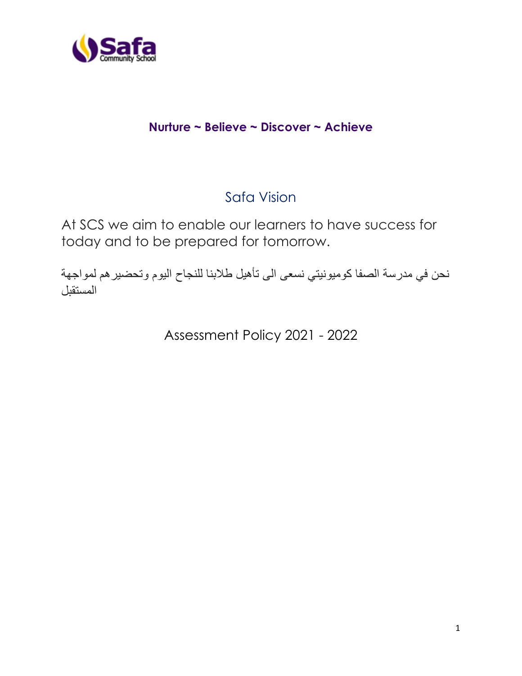

# **Nurture ~ Believe ~ Discover ~ Achieve**

# Safa Vision

At SCS we aim to enable our learners to have success for today and to be prepared for tomorrow.

نحن في مدرسة الصفا كوميونيتي نسعى الى تأهيل طالبنا للنجاح اليوم وتحضيرهم لمواجهة المستقبل

Assessment Policy 2021 - 2022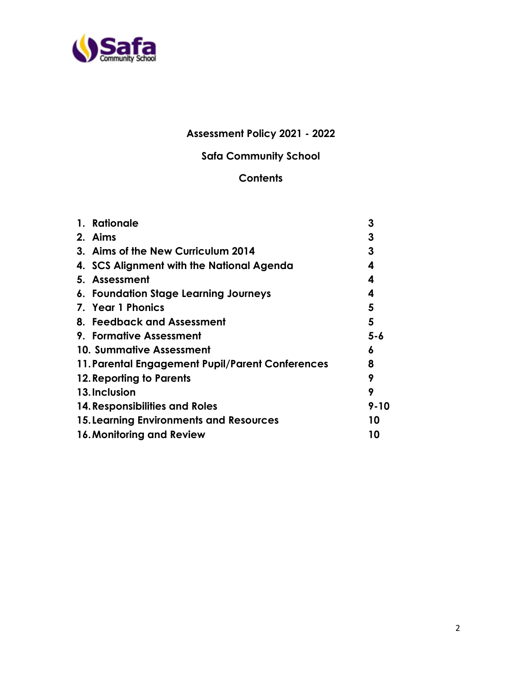

# **Assessment Policy 2021 - 2022**

# **Safa Community School**

# **Contents**

| 1. Rationale                                     | 3        |
|--------------------------------------------------|----------|
| 2. Aims                                          | 3        |
| 3. Aims of the New Curriculum 2014               | 3        |
| 4. SCS Alignment with the National Agenda        | 4        |
| 5. Assessment                                    | 4        |
| 6. Foundation Stage Learning Journeys            | 4        |
| 7. Year 1 Phonics                                | 5        |
| 8. Feedback and Assessment                       | 5        |
| 9. Formative Assessment                          | $5 - 6$  |
| 10. Summative Assessment                         | 6        |
| 11. Parental Engagement Pupil/Parent Conferences | 8        |
| 12. Reporting to Parents                         | 9        |
| 13. Inclusion                                    | 9        |
| 14. Responsibilities and Roles                   | $9 - 10$ |
| <b>15. Learning Environments and Resources</b>   | 10       |
| 16. Monitoring and Review                        | 10       |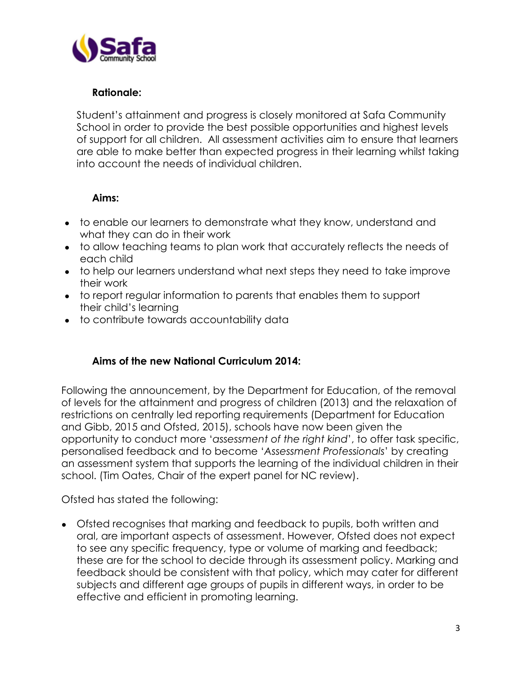

#### **Rationale:**

Student's attainment and progress is closely monitored at Safa Community School in order to provide the best possible opportunities and highest levels of support for all children. All assessment activities aim to ensure that learners are able to make better than expected progress in their learning whilst taking into account the needs of individual children.

#### **Aims:**

- to enable our learners to demonstrate what they know, understand and what they can do in their work
- to allow teaching teams to plan work that accurately reflects the needs of each child
- to help our learners understand what next steps they need to take improve their work
- to report regular information to parents that enables them to support their child's learning
- to contribute towards accountability data

# **Aims of the new National Curriculum 2014:**

Following the announcement, by the Department for Education, of the removal of levels for the attainment and progress of children (2013) and the relaxation of restrictions on centrally led reporting requirements (Department for Education and Gibb, 2015 and Ofsted, 2015), schools have now been given the opportunity to conduct more '*assessment of the right kind*', to offer task specific, personalised feedback and to become '*Assessment Professionals*' by creating an assessment system that supports the learning of the individual children in their school. (Tim Oates, Chair of the expert panel for NC review).

Ofsted has stated the following:

• Ofsted recognises that marking and feedback to pupils, both written and oral, are important aspects of assessment. However, Ofsted does not expect to see any specific frequency, type or volume of marking and feedback; these are for the school to decide through its assessment policy. Marking and feedback should be consistent with that policy, which may cater for different subjects and different age groups of pupils in different ways, in order to be effective and efficient in promoting learning.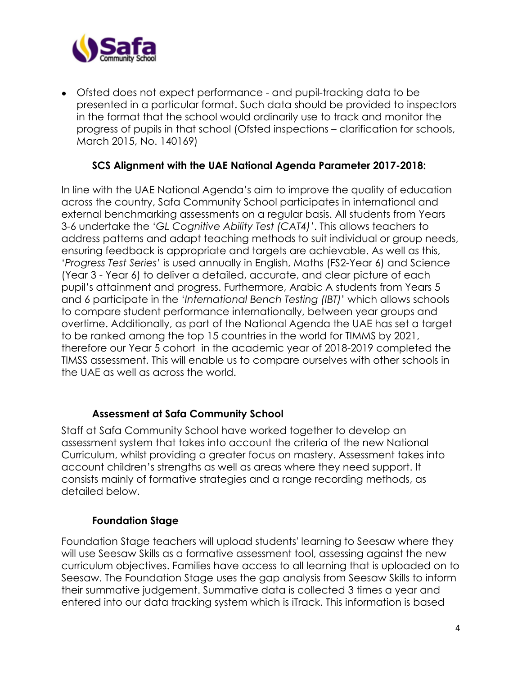

• Ofsted does not expect performance - and pupil-tracking data to be presented in a particular format. Such data should be provided to inspectors in the format that the school would ordinarily use to track and monitor the progress of pupils in that school (Ofsted inspections – clarification for schools, March 2015, No. 140169)

#### **SCS Alignment with the UAE National Agenda Parameter 2017-2018:**

In line with the UAE National Agenda's aim to improve the quality of education across the country, Safa Community School participates in international and external benchmarking assessments on a regular basis. All students from Years 3-6 undertake the '*GL Cognitive Ability Test (CAT4)'*. This allows teachers to address patterns and adapt teaching methods to suit individual or group needs, ensuring feedback is appropriate and targets are achievable. As well as this, '*Progress Test Series*' is used annually in English, Maths (FS2-Year 6) and Science (Year 3 - Year 6) to deliver a detailed, accurate, and clear picture of each pupil's attainment and progress. Furthermore, Arabic A students from Years 5 and 6 participate in the '*International Bench Testing (IBT)*' which allows schools to compare student performance internationally, between year groups and overtime. Additionally, as part of the National Agenda the UAE has set a target to be ranked among the top 15 countries in the world for TIMMS by 2021, therefore our Year 5 cohort in the academic year of 2018-2019 completed the TIMSS assessment. This will enable us to compare ourselves with other schools in the UAE as well as across the world.

#### **Assessment at Safa Community School**

Staff at Safa Community School have worked together to develop an assessment system that takes into account the criteria of the new National Curriculum, whilst providing a greater focus on mastery. Assessment takes into account children's strengths as well as areas where they need support. It consists mainly of formative strategies and a range recording methods, as detailed below.

#### **Foundation Stage**

Foundation Stage teachers will upload students' learning to Seesaw where they will use Seesaw Skills as a formative assessment tool, assessing against the new curriculum objectives. Families have access to all learning that is uploaded on to Seesaw. The Foundation Stage uses the gap analysis from Seesaw Skills to inform their summative judgement. Summative data is collected 3 times a year and entered into our data tracking system which is iTrack. This information is based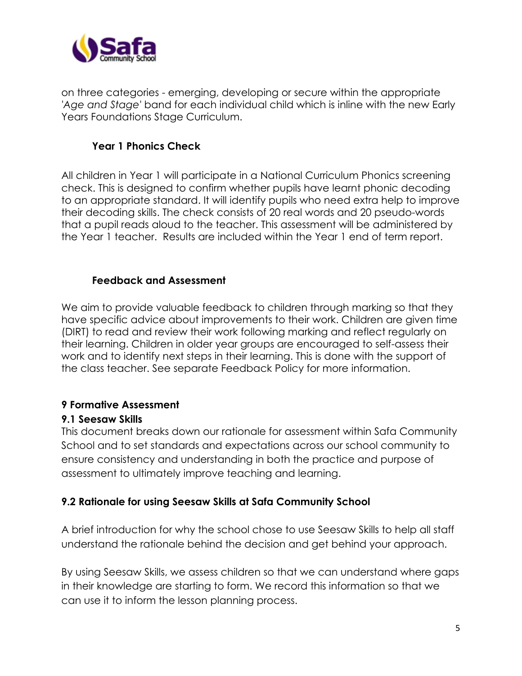

on three categories - emerging, developing or secure within the appropriate *'Age and Stage'* band for each individual child which is inline with the new Early Years Foundations Stage Curriculum.

# **Year 1 Phonics Check**

All children in Year 1 will participate in a National Curriculum Phonics screening check. This is designed to confirm whether pupils have learnt phonic decoding to an appropriate standard. It will identify pupils who need extra help to improve their decoding skills. The check consists of 20 real words and 20 pseudo-words that a pupil reads aloud to the teacher. This assessment will be administered by the Year 1 teacher. Results are included within the Year 1 end of term report.

# **Feedback and Assessment**

We aim to provide valuable feedback to children through marking so that they have specific advice about improvements to their work. Children are given time (DIRT) to read and review their work following marking and reflect regularly on their learning. Children in older year groups are encouraged to self-assess their work and to identify next steps in their learning. This is done with the support of the class teacher. See separate Feedback Policy for more information.

# **9 Formative Assessment**

# **9.1 Seesaw Skills**

This document breaks down our rationale for assessment within Safa Community School and to set standards and expectations across our school community to ensure consistency and understanding in both the practice and purpose of assessment to ultimately improve teaching and learning.

# **9.2 Rationale for using Seesaw Skills at Safa Community School**

A brief introduction for why the school chose to use Seesaw Skills to help all staff understand the rationale behind the decision and get behind your approach.

By using Seesaw Skills, we assess children so that we can understand where gaps in their knowledge are starting to form. We record this information so that we can use it to inform the lesson planning process.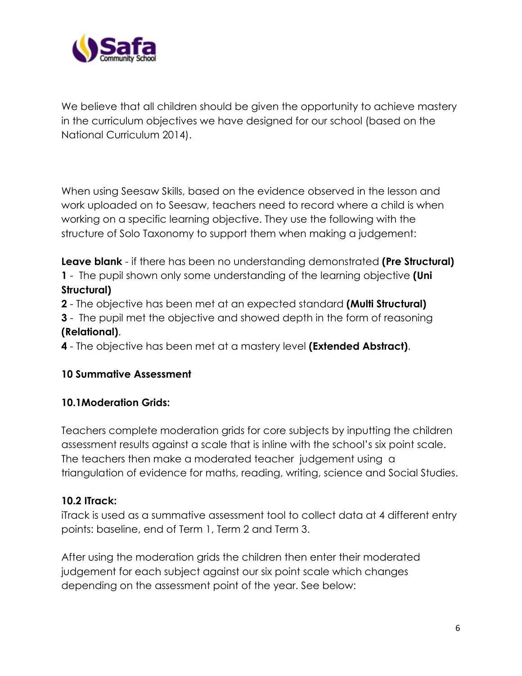

We believe that all children should be given the opportunity to achieve mastery in the curriculum objectives we have designed for our school (based on the National Curriculum 2014).

When using Seesaw Skills, based on the evidence observed in the lesson and work uploaded on to Seesaw, teachers need to record where a child is when working on a specific learning objective. They use the following with the structure of Solo Taxonomy to support them when making a judgement:

**Leave blank** - if there has been no understanding demonstrated **(Pre Structural) 1** - The pupil shown only some understanding of the learning objective **(Uni Structural)**

**2** - The objective has been met at an expected standard **(Multi Structural)**

**3** - The pupil met the objective and showed depth in the form of reasoning **(Relational)**.

**4** - The objective has been met at a mastery level **(Extended Abstract)**.

# **10 Summative Assessment**

#### **10.1Moderation Grids:**

Teachers complete moderation grids for core subjects by inputting the children assessment results against a scale that is inline with the school's six point scale. The teachers then make a moderated teacher judgement using a triangulation of evidence for maths, reading, writing, science and Social Studies.

# **10.2 ITrack:**

iTrack is used as a summative assessment tool to collect data at 4 different entry points: baseline, end of Term 1, Term 2 and Term 3.

After using the moderation grids the children then enter their moderated judgement for each subject against our six point scale which changes depending on the assessment point of the year. See below: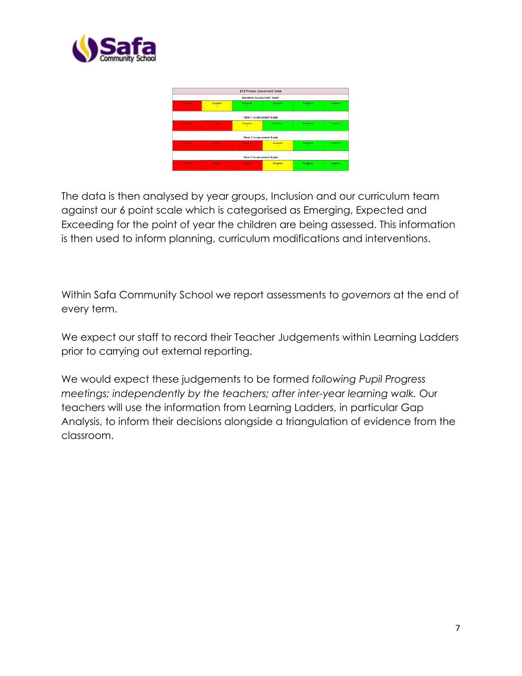

| 8C 8 Primary Assessment Soale    |                      |                           |           |                             |                                   |  |  |
|----------------------------------|----------------------|---------------------------|-----------|-----------------------------|-----------------------------------|--|--|
| <b>Baceline Accessment Soale</b> |                      |                           |           |                             |                                   |  |  |
| <b>Country</b>                   | <b>Dronound</b><br>× | <b>Conseiling</b><br>-200 | Exceeding | <b>Crowding</b><br>15.11    | <b>Conseiler</b><br>c.            |  |  |
| <b>Term 1 Accessment Soale</b>   |                      |                           |           |                             |                                   |  |  |
| <b>Country</b>                   | <b>Country</b>       | <b>Expected</b>           | Exceeding | Copenting :<br><b>COLLE</b> | Coceeding:<br>a.                  |  |  |
| <b>Term 2 Acceccment Soale</b>   |                      |                           |           |                             |                                   |  |  |
| Country                          | <b>Counting</b>      | Country.                  | Expected  | Departing :<br><b>SALE</b>  | <b>Cocooding</b><br>$\mathcal{L}$ |  |  |
| <b>Term 3 Accessment Soale</b>   |                      |                           |           |                             |                                   |  |  |
| <b>Country</b>                   | <b>Counting</b>      | <b>Counting</b>           | Expected  | Conseiler :<br>5.           | <b>Consecting</b>                 |  |  |

The data is then analysed by year groups, Inclusion and our curriculum team against our 6 point scale which is categorised as Emerging, Expected and Exceeding for the point of year the children are being assessed. This information is then used to inform planning, curriculum modifications and interventions.

Within Safa Community School we report assessments to *governors* at the end of every term.

We expect our staff to record their Teacher Judgements within Learning Ladders prior to carrying out external reporting.

We would expect these judgements to be formed *following Pupil Progress meetings; independently by the teachers; after inter-year learning walk.* Our teachers will use the information from Learning Ladders, in particular Gap Analysis, to inform their decisions alongside a triangulation of evidence from the classroom.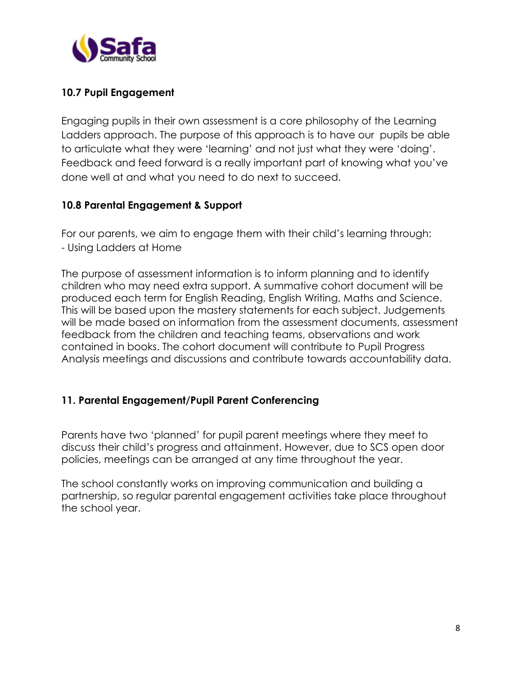

# **10.7 Pupil Engagement**

Engaging pupils in their own assessment is a core philosophy of the Learning Ladders approach. The purpose of this approach is to have our pupils be able to articulate what they were 'learning' and not just what they were 'doing'. Feedback and feed forward is a really important part of knowing what you've done well at and what you need to do next to succeed.

#### **10.8 Parental Engagement & Support**

For our parents, we aim to engage them with their child's learning through: - Using Ladders at Home

The purpose of assessment information is to inform planning and to identify children who may need extra support. A summative cohort document will be produced each term for English Reading, English Writing, Maths and Science. This will be based upon the mastery statements for each subject. Judgements will be made based on information from the assessment documents, assessment feedback from the children and teaching teams, observations and work contained in books. The cohort document will contribute to Pupil Progress Analysis meetings and discussions and contribute towards accountability data.

# **11. Parental Engagement/Pupil Parent Conferencing**

Parents have two 'planned' for pupil parent meetings where they meet to discuss their child's progress and attainment. However, due to SCS open door policies, meetings can be arranged at any time throughout the year.

The school constantly works on improving communication and building a partnership, so regular parental engagement activities take place throughout the school year.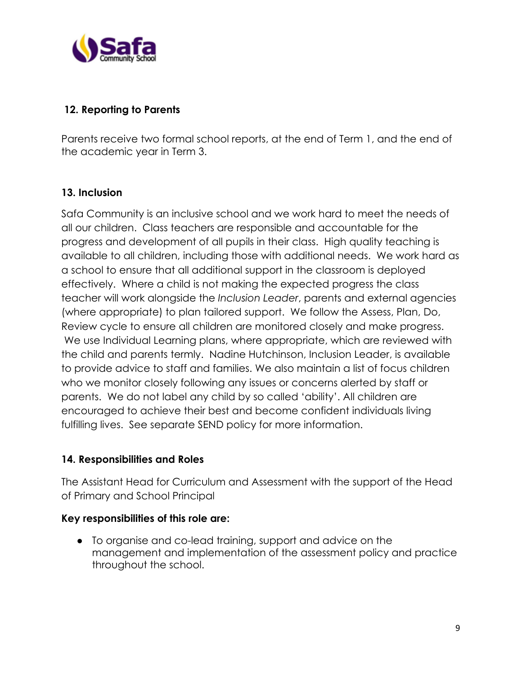

#### **12. Reporting to Parents**

Parents receive two formal school reports, at the end of Term 1, and the end of the academic year in Term 3.

#### **13. Inclusion**

Safa Community is an inclusive school and we work hard to meet the needs of all our children. Class teachers are responsible and accountable for the progress and development of all pupils in their class. High quality teaching is available to all children, including those with additional needs. We work hard as a school to ensure that all additional support in the classroom is deployed effectively. Where a child is not making the expected progress the class teacher will work alongside the *Inclusion Leader*, parents and external agencies (where appropriate) to plan tailored support. We follow the Assess, Plan, Do, Review cycle to ensure all children are monitored closely and make progress. We use Individual Learning plans, where appropriate, which are reviewed with the child and parents termly. Nadine Hutchinson, Inclusion Leader, is available to provide advice to staff and families. We also maintain a list of focus children who we monitor closely following any issues or concerns alerted by staff or parents. We do not label any child by so called 'ability'. All children are encouraged to achieve their best and become confident individuals living fulfilling lives. See separate SEND policy for more information.

#### **14. Responsibilities and Roles**

The Assistant Head for Curriculum and Assessment with the support of the Head of Primary and School Principal

#### **Key responsibilities of this role are:**

● To organise and co-lead training, support and advice on the management and implementation of the assessment policy and practice throughout the school.